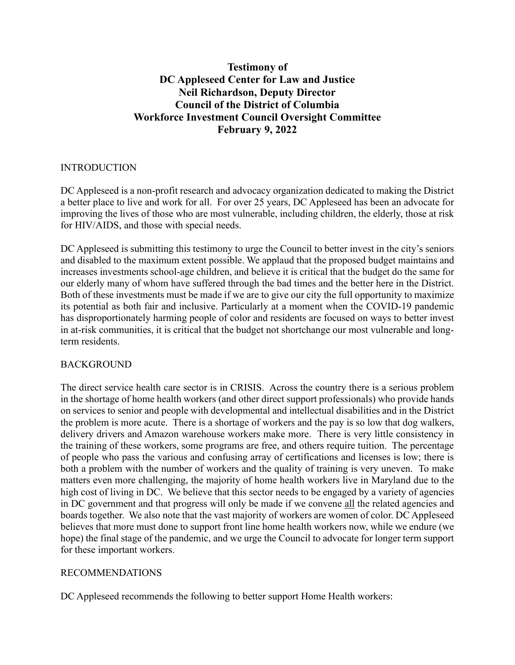# **Testimony of DC Appleseed Center for Law and Justice Neil Richardson, Deputy Director Council of the District of Columbia Workforce Investment Council Oversight Committee February 9, 2022**

#### INTRODUCTION

DC Appleseed is a non-profit research and advocacy organization dedicated to making the District a better place to live and work for all. For over 25 years, DC Appleseed has been an advocate for improving the lives of those who are most vulnerable, including children, the elderly, those at risk for HIV/AIDS, and those with special needs.

DC Appleseed is submitting this testimony to urge the Council to better invest in the city's seniors and disabled to the maximum extent possible. We applaud that the proposed budget maintains and increases investments school-age children, and believe it is critical that the budget do the same for our elderly many of whom have suffered through the bad times and the better here in the District. Both of these investments must be made if we are to give our city the full opportunity to maximize its potential as both fair and inclusive. Particularly at a moment when the COVID-19 pandemic has disproportionately harming people of color and residents are focused on ways to better invest in at-risk communities, it is critical that the budget not shortchange our most vulnerable and longterm residents.

# BACKGROUND

The direct service health care sector is in CRISIS. Across the country there is a serious problem in the shortage of home health workers (and other direct support professionals) who provide hands on services to senior and people with developmental and intellectual disabilities and in the District the problem is more acute. There is a shortage of workers and the pay is so low that dog walkers, delivery drivers and Amazon warehouse workers make more. There is very little consistency in the training of these workers, some programs are free, and others require tuition. The percentage of people who pass the various and confusing array of certifications and licenses is low; there is both a problem with the number of workers and the quality of training is very uneven. To make matters even more challenging, the majority of home health workers live in Maryland due to the high cost of living in DC. We believe that this sector needs to be engaged by a variety of agencies in DC government and that progress will only be made if we convene all the related agencies and boards together. We also note that the vast majority of workers are women of color. DC Appleseed believes that more must done to support front line home health workers now, while we endure (we hope) the final stage of the pandemic, and we urge the Council to advocate for longer term support for these important workers.

# RECOMMENDATIONS

DC Appleseed recommends the following to better support Home Health workers: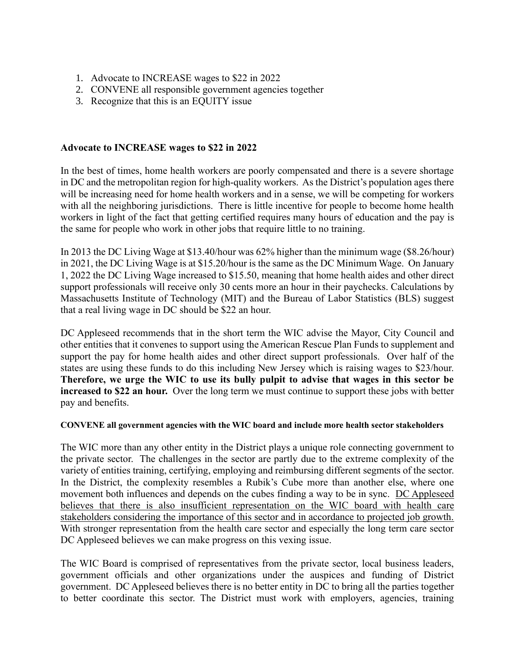- 1. Advocate to INCREASE wages to \$22 in 2022
- 2. CONVENE all responsible government agencies together
- 3. Recognize that this is an EQUITY issue

### **Advocate to INCREASE wages to \$22 in 2022**

In the best of times, home health workers are poorly compensated and there is a severe shortage in DC and the metropolitan region for high-quality workers. As the District's population ages there will be increasing need for home health workers and in a sense, we will be competing for workers with all the neighboring jurisdictions. There is little incentive for people to become home health workers in light of the fact that getting certified requires many hours of education and the pay is the same for people who work in other jobs that require little to no training.

In 2013 the DC Living Wage at \$13.40/hour was 62% higher than the minimum wage (\$8.26/hour) in 2021, the DC Living Wage is at \$15.20/hour is the same as the DC Minimum Wage. On January 1, 2022 the DC Living Wage increased to \$15.50, meaning that home health aides and other direct support professionals will receive only 30 cents more an hour in their paychecks. Calculations by Massachusetts Institute of Technology (MIT) and the Bureau of Labor Statistics (BLS) suggest that a real living wage in DC should be \$22 an hour.

DC Appleseed recommends that in the short term the WIC advise the Mayor, City Council and other entities that it convenes to support using the American Rescue Plan Funds to supplement and support the pay for home health aides and other direct support professionals. Over half of the states are using these funds to do this including New Jersey which is raising wages to \$23/hour. **Therefore, we urge the WIC to use its bully pulpit to advise that wages in this sector be increased to \$22 an hour.** Over the long term we must continue to support these jobs with better pay and benefits.

#### **CONVENE all government agencies with the WIC board and include more health sector stakeholders**

The WIC more than any other entity in the District plays a unique role connecting government to the private sector. The challenges in the sector are partly due to the extreme complexity of the variety of entities training, certifying, employing and reimbursing different segments of the sector. In the District, the complexity resembles a Rubik's Cube more than another else, where one movement both influences and depends on the cubes finding a way to be in sync. DC Appleseed believes that there is also insufficient representation on the WIC board with health care stakeholders considering the importance of this sector and in accordance to projected job growth. With stronger representation from the health care sector and especially the long term care sector DC Appleseed believes we can make progress on this vexing issue.

The WIC Board is comprised of representatives from the private sector, local business leaders, government officials and other organizations under the auspices and funding of District government. DC Appleseed believes there is no better entity in DC to bring all the parties together to better coordinate this sector. The District must work with employers, agencies, training